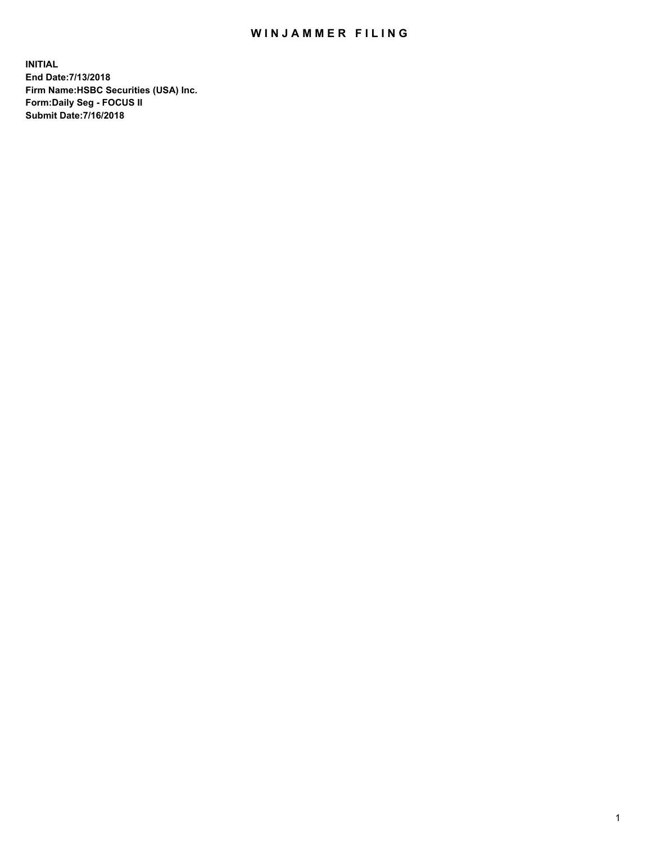## WIN JAMMER FILING

**INITIAL End Date:7/13/2018 Firm Name:HSBC Securities (USA) Inc. Form:Daily Seg - FOCUS II Submit Date:7/16/2018**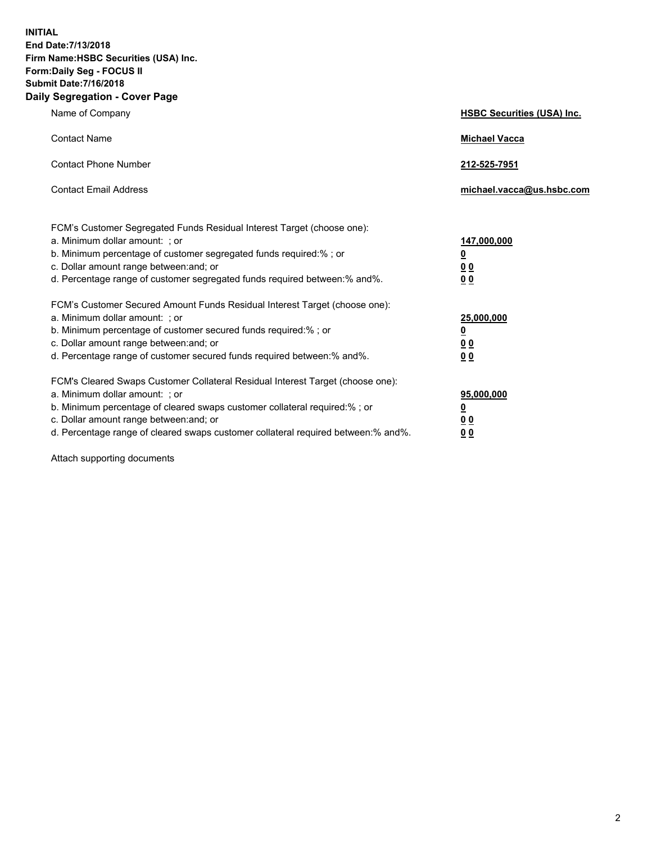**INITIAL End Date:7/13/2018 Firm Name:HSBC Securities (USA) Inc. Form:Daily Seg - FOCUS II Submit Date:7/16/2018 Daily Segregation - Cover Page**

| Name of Company                                                                                                                                                                                                                                                                                                                | <b>HSBC Securities (USA) Inc.</b>                                          |
|--------------------------------------------------------------------------------------------------------------------------------------------------------------------------------------------------------------------------------------------------------------------------------------------------------------------------------|----------------------------------------------------------------------------|
| <b>Contact Name</b>                                                                                                                                                                                                                                                                                                            | <b>Michael Vacca</b>                                                       |
| <b>Contact Phone Number</b>                                                                                                                                                                                                                                                                                                    | 212-525-7951                                                               |
| <b>Contact Email Address</b>                                                                                                                                                                                                                                                                                                   | michael.vacca@us.hsbc.com                                                  |
| FCM's Customer Segregated Funds Residual Interest Target (choose one):<br>a. Minimum dollar amount: : or<br>b. Minimum percentage of customer segregated funds required:% ; or<br>c. Dollar amount range between: and; or<br>d. Percentage range of customer segregated funds required between:% and%.                         | 147,000,000<br>$\overline{\mathbf{0}}$<br>0 <sub>0</sub><br>0 <sub>0</sub> |
| FCM's Customer Secured Amount Funds Residual Interest Target (choose one):<br>a. Minimum dollar amount: ; or<br>b. Minimum percentage of customer secured funds required:%; or<br>c. Dollar amount range between: and; or<br>d. Percentage range of customer secured funds required between:% and%.                            | 25,000,000<br><u>0</u><br>0 <sub>0</sub><br>00                             |
| FCM's Cleared Swaps Customer Collateral Residual Interest Target (choose one):<br>a. Minimum dollar amount: ; or<br>b. Minimum percentage of cleared swaps customer collateral required:% ; or<br>c. Dollar amount range between: and; or<br>d. Percentage range of cleared swaps customer collateral required between:% and%. | 95,000,000<br><u>0</u><br>00<br>0 <sub>0</sub>                             |

Attach supporting documents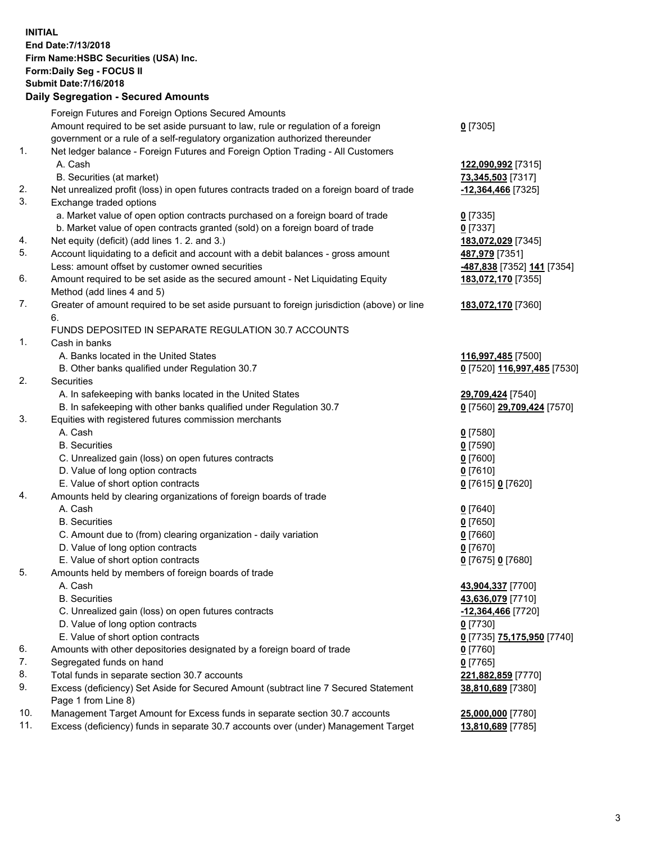**INITIAL End Date:7/13/2018 Firm Name:HSBC Securities (USA) Inc. Form:Daily Seg - FOCUS II Submit Date:7/16/2018 Daily Segregation - Secured Amounts**

## Foreign Futures and Foreign Options Secured Amounts Amount required to be set aside pursuant to law, rule or regulation of a foreign government or a rule of a self-regulatory organization authorized thereunder **0** [7305] 1. Net ledger balance - Foreign Futures and Foreign Option Trading - All Customers A. Cash **122,090,992** [7315] B. Securities (at market) **73,345,503** [7317] 2. Net unrealized profit (loss) in open futures contracts traded on a foreign board of trade **-12,364,466** [7325] 3. Exchange traded options a. Market value of open option contracts purchased on a foreign board of trade **0** [7335] b. Market value of open contracts granted (sold) on a foreign board of trade **0** [7337] 4. Net equity (deficit) (add lines 1. 2. and 3.) **183,072,029** [7345] 5. Account liquidating to a deficit and account with a debit balances - gross amount **487,979** [7351] Less: amount offset by customer owned securities **-487,838** [7352] **141** [7354] 6. Amount required to be set aside as the secured amount - Net Liquidating Equity Method (add lines 4 and 5) **183,072,170** [7355] 7. Greater of amount required to be set aside pursuant to foreign jurisdiction (above) or line 6. **183,072,170** [7360] FUNDS DEPOSITED IN SEPARATE REGULATION 30.7 ACCOUNTS 1. Cash in banks A. Banks located in the United States **116,997,485** [7500] B. Other banks qualified under Regulation 30.7 **0** [7520] **116,997,485** [7530] 2. Securities A. In safekeeping with banks located in the United States **29,709,424** [7540] B. In safekeeping with other banks qualified under Regulation 30.7 **0** [7560] **29,709,424** [7570] 3. Equities with registered futures commission merchants A. Cash **0** [7580] B. Securities **0** [7590] C. Unrealized gain (loss) on open futures contracts **0** [7600] D. Value of long option contracts **0** [7610] E. Value of short option contracts **0** [7615] **0** [7620] 4. Amounts held by clearing organizations of foreign boards of trade A. Cash **0** [7640] B. Securities **0** [7650] C. Amount due to (from) clearing organization - daily variation **0** [7660] D. Value of long option contracts **0** [7670] E. Value of short option contracts **0** [7675] **0** [7680] 5. Amounts held by members of foreign boards of trade A. Cash **43,904,337** [7700] B. Securities **43,636,079** [7710] C. Unrealized gain (loss) on open futures contracts **-12,364,466** [7720] D. Value of long option contracts **0** [7730] E. Value of short option contracts **0** [7735] **75,175,950** [7740] 6. Amounts with other depositories designated by a foreign board of trade **0** [7760] 7. Segregated funds on hand **0** [7765] 8. Total funds in separate section 30.7 accounts **221,882,859** [7770] 9. Excess (deficiency) Set Aside for Secured Amount (subtract line 7 Secured Statement Page 1 from Line 8) **38,810,689** [7380] 10. Management Target Amount for Excess funds in separate section 30.7 accounts **25,000,000** [7780] 11. Excess (deficiency) funds in separate 30.7 accounts over (under) Management Target **13,810,689** [7785]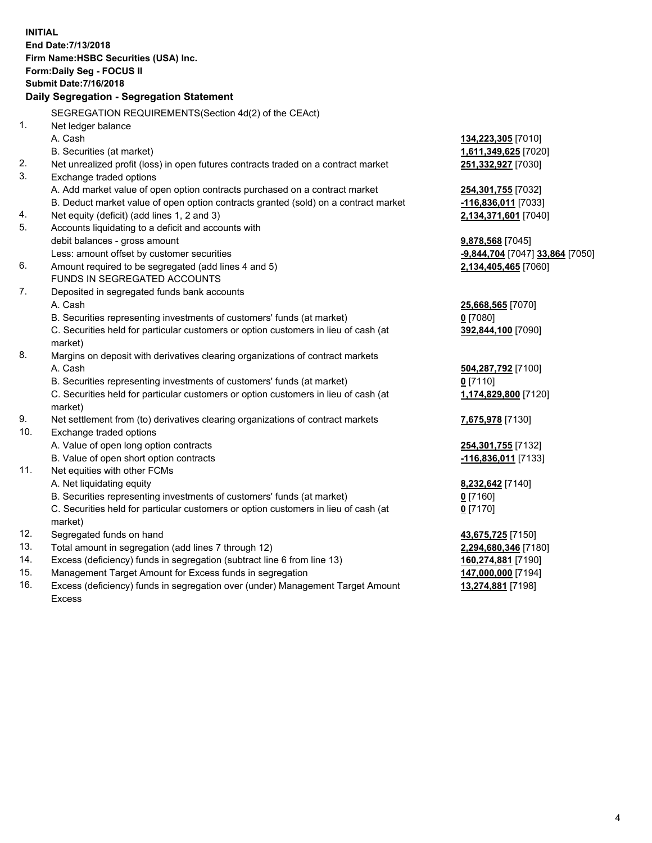**INITIAL End Date:7/13/2018 Firm Name:HSBC Securities (USA) Inc. Form:Daily Seg - FOCUS II Submit Date:7/16/2018 Daily Segregation - Segregation Statement** SEGREGATION REQUIREMENTS(Section 4d(2) of the CEAct) 1. Net ledger balance A. Cash **134,223,305** [7010] B. Securities (at market) **1,611,349,625** [7020] 2. Net unrealized profit (loss) in open futures contracts traded on a contract market **251,332,927** [7030] 3. Exchange traded options A. Add market value of open option contracts purchased on a contract market **254,301,755** [7032] B. Deduct market value of open option contracts granted (sold) on a contract market **-116,836,011** [7033] 4. Net equity (deficit) (add lines 1, 2 and 3) **2,134,371,601** [7040] 5. Accounts liquidating to a deficit and accounts with debit balances - gross amount **9,878,568** [7045] Less: amount offset by customer securities **-9,844,704** [7047] **33,864** [7050] 6. Amount required to be segregated (add lines 4 and 5) **2,134,405,465** [7060] FUNDS IN SEGREGATED ACCOUNTS 7. Deposited in segregated funds bank accounts A. Cash **25,668,565** [7070] B. Securities representing investments of customers' funds (at market) **0** [7080] C. Securities held for particular customers or option customers in lieu of cash (at market) **392,844,100** [7090] 8. Margins on deposit with derivatives clearing organizations of contract markets A. Cash **504,287,792** [7100] B. Securities representing investments of customers' funds (at market) **0** [7110] C. Securities held for particular customers or option customers in lieu of cash (at market) **1,174,829,800** [7120] 9. Net settlement from (to) derivatives clearing organizations of contract markets **7,675,978** [7130] 10. Exchange traded options A. Value of open long option contracts **254,301,755** [7132] B. Value of open short option contracts **-116,836,011** [7133] 11. Net equities with other FCMs A. Net liquidating equity **8,232,642** [7140] B. Securities representing investments of customers' funds (at market) **0** [7160] C. Securities held for particular customers or option customers in lieu of cash (at market) **0** [7170] 12. Segregated funds on hand **43,675,725** [7150] 13. Total amount in segregation (add lines 7 through 12) **2,294,680,346** [7180] 14. Excess (deficiency) funds in segregation (subtract line 6 from line 13) **160,274,881** [7190] 15. Management Target Amount for Excess funds in segregation **147,000,000** [7194] **13,274,881** [7198]

16. Excess (deficiency) funds in segregation over (under) Management Target Amount Excess